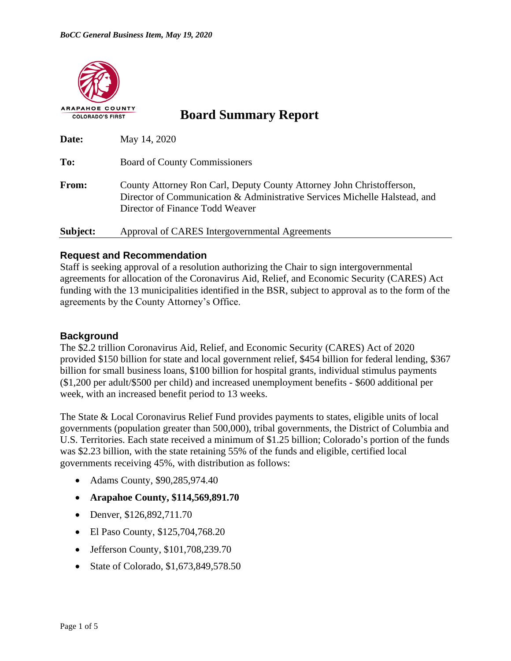

**Board Summary Report**

| Date:    | May 14, 2020                                                                                                                                                                           |  |  |  |
|----------|----------------------------------------------------------------------------------------------------------------------------------------------------------------------------------------|--|--|--|
| To:      | <b>Board of County Commissioners</b>                                                                                                                                                   |  |  |  |
| From:    | County Attorney Ron Carl, Deputy County Attorney John Christofferson,<br>Director of Communication & Administrative Services Michelle Halstead, and<br>Director of Finance Todd Weaver |  |  |  |
| Subject: | Approval of CARES Intergovernmental Agreements                                                                                                                                         |  |  |  |

## **Request and Recommendation**

Staff is seeking approval of a resolution authorizing the Chair to sign intergovernmental agreements for allocation of the Coronavirus Aid, Relief, and Economic Security (CARES) Act funding with the 13 municipalities identified in the BSR, subject to approval as to the form of the agreements by the County Attorney's Office.

### **Background**

The \$2.2 trillion Coronavirus Aid, Relief, and Economic Security (CARES) Act of 2020 provided \$150 billion for state and local government relief, \$454 billion for federal lending, \$367 billion for small business loans, \$100 billion for hospital grants, individual stimulus payments (\$1,200 per adult/\$500 per child) and increased unemployment benefits - \$600 additional per week, with an increased benefit period to 13 weeks.

The State & Local Coronavirus Relief Fund provides payments to states, eligible units of local governments (population greater than 500,000), tribal governments, the District of Columbia and U.S. Territories. Each state received a minimum of \$1.25 billion; Colorado's portion of the funds was \$2.23 billion, with the state retaining 55% of the funds and eligible, certified local governments receiving 45%, with distribution as follows:

- Adams County, \$90,285,974.40
- **Arapahoe County, \$114,569,891.70**
- Denver, \$126,892,711.70
- El Paso County, \$125,704,768.20
- Jefferson County, \$101,708,239.70
- State of Colorado, \$1,673,849,578.50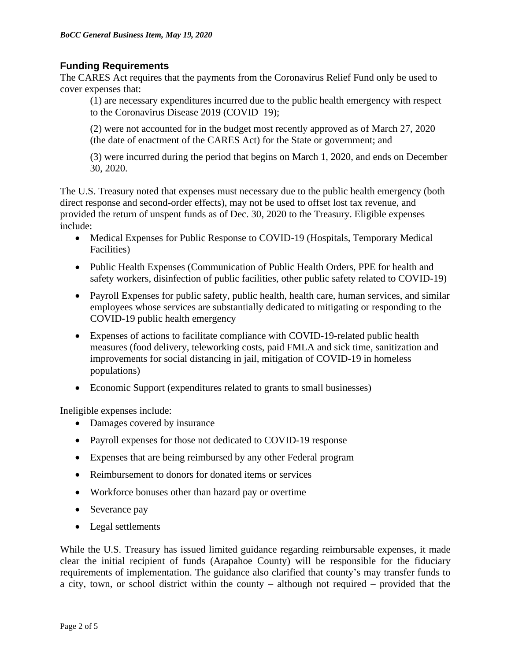# **Funding Requirements**

The CARES Act requires that the payments from the Coronavirus Relief Fund only be used to cover expenses that:

(1) are necessary expenditures incurred due to the public health emergency with respect to the Coronavirus Disease 2019 (COVID–19);

(2) were not accounted for in the budget most recently approved as of March 27, 2020 (the date of enactment of the CARES Act) for the State or government; and

(3) were incurred during the period that begins on March 1, 2020, and ends on December 30, 2020.

The U.S. Treasury noted that expenses must necessary due to the public health emergency (both direct response and second-order effects), may not be used to offset lost tax revenue, and provided the return of unspent funds as of Dec. 30, 2020 to the Treasury. Eligible expenses include:

- Medical Expenses for Public Response to COVID-19 (Hospitals, Temporary Medical Facilities)
- Public Health Expenses (Communication of Public Health Orders, PPE for health and safety workers, disinfection of public facilities, other public safety related to COVID-19)
- Payroll Expenses for public safety, public health, health care, human services, and similar employees whose services are substantially dedicated to mitigating or responding to the COVID-19 public health emergency
- Expenses of actions to facilitate compliance with COVID-19-related public health measures (food delivery, teleworking costs, paid FMLA and sick time, sanitization and improvements for social distancing in jail, mitigation of COVID-19 in homeless populations)
- Economic Support (expenditures related to grants to small businesses)

Ineligible expenses include:

- Damages covered by insurance
- Payroll expenses for those not dedicated to COVID-19 response
- Expenses that are being reimbursed by any other Federal program
- Reimbursement to donors for donated items or services
- Workforce bonuses other than hazard pay or overtime
- Severance pay
- Legal settlements

While the U.S. Treasury has issued limited guidance regarding reimbursable expenses, it made clear the initial recipient of funds (Arapahoe County) will be responsible for the fiduciary requirements of implementation. The guidance also clarified that county's may transfer funds to a city, town, or school district within the county – although not required – provided that the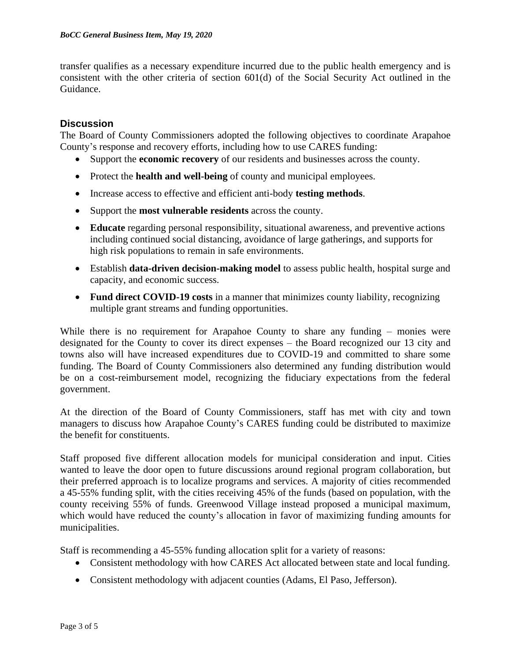transfer qualifies as a necessary expenditure incurred due to the public health emergency and is consistent with the other criteria of section 601(d) of the Social Security Act outlined in the Guidance.

## **Discussion**

The Board of County Commissioners adopted the following objectives to coordinate Arapahoe County's response and recovery efforts, including how to use CARES funding:

- Support the **economic recovery** of our residents and businesses across the county.
- Protect the **health and well-being** of county and municipal employees.
- Increase access to effective and efficient anti-body **testing methods**.
- Support the **most vulnerable residents** across the county.
- **Educate** regarding personal responsibility, situational awareness, and preventive actions including continued social distancing, avoidance of large gatherings, and supports for high risk populations to remain in safe environments.
- Establish **data-driven decision-making model** to assess public health, hospital surge and capacity, and economic success.
- **Fund direct COVID-19 costs** in a manner that minimizes county liability, recognizing multiple grant streams and funding opportunities.

While there is no requirement for Arapahoe County to share any funding – monies were designated for the County to cover its direct expenses – the Board recognized our 13 city and towns also will have increased expenditures due to COVID-19 and committed to share some funding. The Board of County Commissioners also determined any funding distribution would be on a cost-reimbursement model, recognizing the fiduciary expectations from the federal government.

At the direction of the Board of County Commissioners, staff has met with city and town managers to discuss how Arapahoe County's CARES funding could be distributed to maximize the benefit for constituents.

Staff proposed five different allocation models for municipal consideration and input. Cities wanted to leave the door open to future discussions around regional program collaboration, but their preferred approach is to localize programs and services. A majority of cities recommended a 45-55% funding split, with the cities receiving 45% of the funds (based on population, with the county receiving 55% of funds. Greenwood Village instead proposed a municipal maximum, which would have reduced the county's allocation in favor of maximizing funding amounts for municipalities.

Staff is recommending a 45-55% funding allocation split for a variety of reasons:

- Consistent methodology with how CARES Act allocated between state and local funding.
- Consistent methodology with adjacent counties (Adams, El Paso, Jefferson).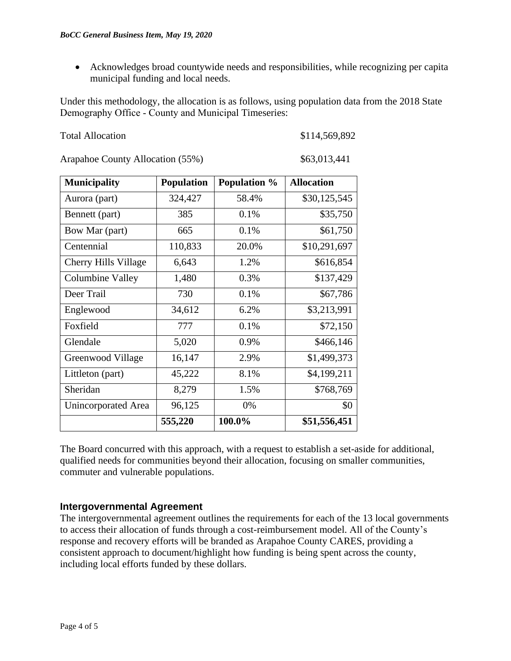• Acknowledges broad countywide needs and responsibilities, while recognizing per capita municipal funding and local needs.

Under this methodology, the allocation is as follows, using population data from the 2018 State Demography Office ‐ County and Municipal Timeseries:

| <b>Total Allocation</b> |
|-------------------------|
|-------------------------|

\$114,569,892

Arapahoe County Allocation (55%) \$63,013,441

| <b>Municipality</b>        | <b>Population</b> | <b>Population %</b> | <b>Allocation</b> |
|----------------------------|-------------------|---------------------|-------------------|
| Aurora (part)              | 324,427           | 58.4%               | \$30,125,545      |
| Bennett (part)             | 385               | 0.1%                | \$35,750          |
| Bow Mar (part)             | 665               | 0.1%                | \$61,750          |
| Centennial                 | 110,833           | 20.0%               | \$10,291,697      |
| Cherry Hills Village       | 6,643             | 1.2%                | \$616,854         |
| <b>Columbine Valley</b>    | 1,480             | 0.3%                | \$137,429         |
| Deer Trail                 | 730               | 0.1%                | \$67,786          |
| Englewood                  | 34,612            | 6.2%                | \$3,213,991       |
| Foxfield                   | 777               | 0.1%                | \$72,150          |
| Glendale                   | 5,020             | 0.9%                | \$466,146         |
| Greenwood Village          | 16,147            | 2.9%                | \$1,499,373       |
| Littleton (part)           | 45,222            | 8.1%                | \$4,199,211       |
| Sheridan                   | 8,279             | 1.5%                | \$768,769         |
| <b>Unincorporated Area</b> | 96,125            | 0%                  | \$0               |
|                            | 555,220           | 100.0%              | \$51,556,451      |

The Board concurred with this approach, with a request to establish a set-aside for additional, qualified needs for communities beyond their allocation, focusing on smaller communities, commuter and vulnerable populations.

# **Intergovernmental Agreement**

The intergovernmental agreement outlines the requirements for each of the 13 local governments to access their allocation of funds through a cost-reimbursement model. All of the County's response and recovery efforts will be branded as Arapahoe County CARES, providing a consistent approach to document/highlight how funding is being spent across the county, including local efforts funded by these dollars.